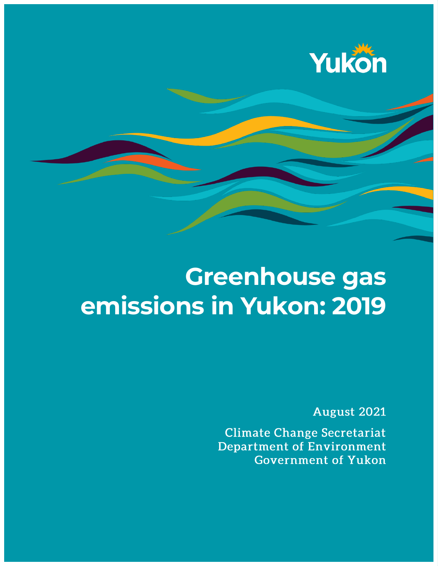

# **Greenhouse gas emissions in Yukon: 2019**

August 2021

**Climate Change Secretariat Department of Environment Government of Yukon**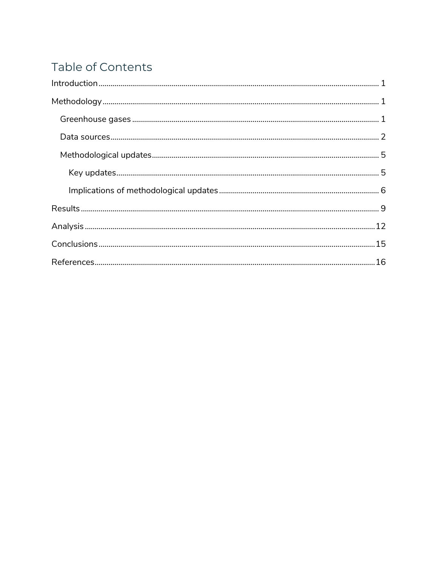### Table of Contents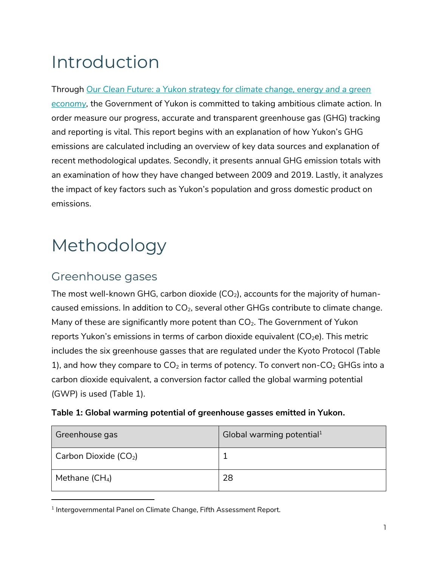## <span id="page-2-0"></span>Introduction

Through *[Our Clean Future: a Yukon strategy for climate change, energy and a green](https://yukon.ca/en/our-clean-future-yukon-strategy-climate-change-energy-and-green-economy)  [economy,](https://yukon.ca/en/our-clean-future-yukon-strategy-climate-change-energy-and-green-economy)* the Government of Yukon is committed to taking ambitious climate action. In order measure our progress, accurate and transparent greenhouse gas (GHG) tracking and reporting is vital. This report begins with an explanation of how Yukon's GHG emissions are calculated including an overview of key data sources and explanation of recent methodological updates. Secondly, it presents annual GHG emission totals with an examination of how they have changed between 2009 and 2019. Lastly, it analyzes the impact of key factors such as Yukon's population and gross domestic product on emissions.

## <span id="page-2-1"></span>Methodology

### <span id="page-2-2"></span>Greenhouse gases

 $\overline{a}$ 

The most well-known GHG, carbon dioxide  $(CO_2)$ , accounts for the majority of humancaused emissions. In addition to  $CO<sub>2</sub>$ , several other GHGs contribute to climate change. Many of these are significantly more potent than  $CO<sub>2</sub>$ . The Government of Yukon reports Yukon's emissions in terms of carbon dioxide equivalent  $(CO<sub>2</sub>e)$ . This metric includes the six greenhouse gasses that are regulated under the Kyoto Protocol [\(Table](#page-2-3)  [1\)](#page-2-3), and how they compare to  $CO<sub>2</sub>$  in terms of potency. To convert non-CO<sub>2</sub> GHGs into a carbon dioxide equivalent, a conversion factor called the global warming potential (GWP) is used (Table 1).

<span id="page-2-3"></span>

| Table 1: Global warming potential of greenhouse gasses emitted in Yukon. |  |  |  |
|--------------------------------------------------------------------------|--|--|--|
|                                                                          |  |  |  |

| Greenhouse gas                            | Global warming potential <sup>1</sup> |
|-------------------------------------------|---------------------------------------|
| $\vert$ Carbon Dioxide (CO <sub>2</sub> ) |                                       |
| Methane $(CH_4)$                          | 28                                    |

 $^{\rm 1}$  Intergovernmental Panel on Climate Change, Fifth Assessment Report.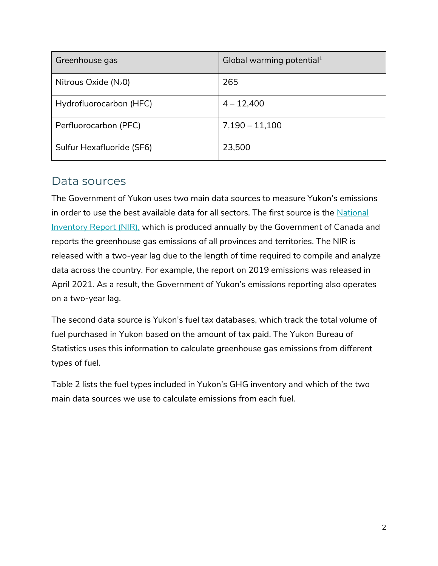| Greenhouse gas            | Global warming potential <sup>1</sup> |
|---------------------------|---------------------------------------|
| Nitrous Oxide $(N_20)$    | 265                                   |
| Hydrofluorocarbon (HFC)   | $4 - 12,400$                          |
| Perfluorocarbon (PFC)     | $7,190 - 11,100$                      |
| Sulfur Hexafluoride (SF6) | 23,500                                |

### <span id="page-3-0"></span>Data sources

The Government of Yukon uses two main data sources to measure Yukon's emissions in order to use the best available data for all sectors. The first source is the [National](http://www.publications.gc.ca/site/eng/9.506002/publication.html)  [Inventory Report](http://www.publications.gc.ca/site/eng/9.506002/publication.html) (NIR), which is produced annually by the Government of Canada and reports the greenhouse gas emissions of all provinces and territories. The NIR is released with a two-year lag due to the length of time required to compile and analyze data across the country. For example, the report on 2019 emissions was released in April 2021. As a result, the Government of Yukon's emissions reporting also operates on a two-year lag.

The second data source is Yukon's fuel tax databases, which track the total volume of fuel purchased in Yukon based on the amount of tax paid. The Yukon Bureau of Statistics uses this information to calculate greenhouse gas emissions from different types of fuel.

[Table](#page-4-0) 2 lists the fuel types included in Yukon's GHG inventory and which of the two main data sources we use to calculate emissions from each fuel.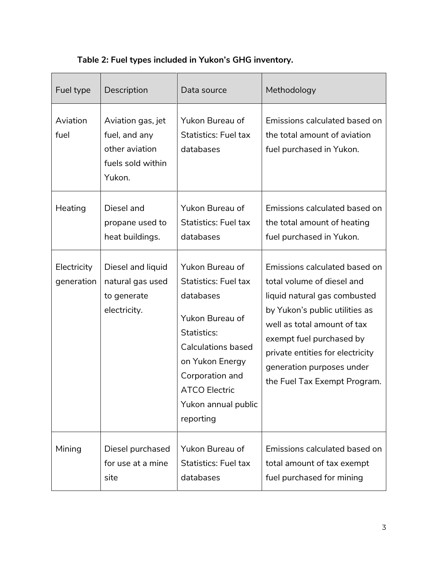<span id="page-4-0"></span>

| Fuel type                 | Description                                                                         | Data source                                                                                                                                                                                                                         | Methodology                                                                                                                                                                                                                                                                               |
|---------------------------|-------------------------------------------------------------------------------------|-------------------------------------------------------------------------------------------------------------------------------------------------------------------------------------------------------------------------------------|-------------------------------------------------------------------------------------------------------------------------------------------------------------------------------------------------------------------------------------------------------------------------------------------|
| Aviation<br>fuel          | Aviation gas, jet<br>fuel, and any<br>other aviation<br>fuels sold within<br>Yukon. | Yukon Bureau of<br><b>Statistics: Fuel tax</b><br>databases                                                                                                                                                                         | Emissions calculated based on<br>the total amount of aviation<br>fuel purchased in Yukon.                                                                                                                                                                                                 |
| Heating                   | Diesel and<br>propane used to<br>heat buildings.                                    | Yukon Bureau of<br><b>Statistics: Fuel tax</b><br>databases                                                                                                                                                                         | Emissions calculated based on<br>the total amount of heating<br>fuel purchased in Yukon.                                                                                                                                                                                                  |
| Electricity<br>generation | Diesel and liquid<br>natural gas used<br>to generate<br>electricity.                | <b>Yukon Bureau of</b><br><b>Statistics: Fuel tax</b><br>databases<br>Yukon Bureau of<br>Statistics:<br><b>Calculations based</b><br>on Yukon Energy<br>Corporation and<br><b>ATCO Electric</b><br>Yukon annual public<br>reporting | Emissions calculated based on<br>total volume of diesel and<br>liquid natural gas combusted<br>by Yukon's public utilities as<br>well as total amount of tax<br>exempt fuel purchased by<br>private entities for electricity<br>generation purposes under<br>the Fuel Tax Exempt Program. |
| Mining                    | Diesel purchased<br>for use at a mine<br>site                                       | <b>Yukon Bureau of</b><br><b>Statistics: Fuel tax</b><br>databases                                                                                                                                                                  | Emissions calculated based on<br>total amount of tax exempt<br>fuel purchased for mining                                                                                                                                                                                                  |

#### **Table 2: Fuel types included in Yukon's GHG inventory.**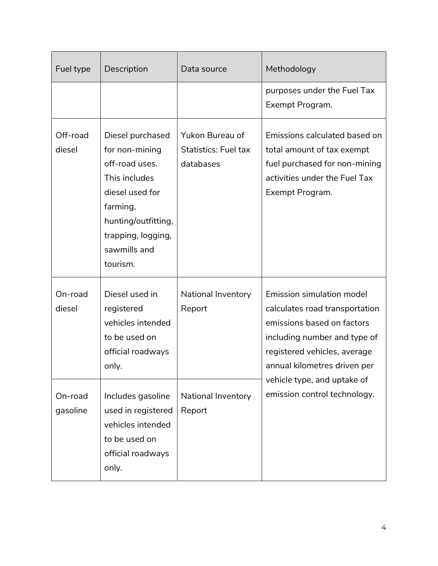| Fuel type           | Description                                                                                                                                                                   | Data source                                                 | Methodology                                                                                                                                                                               |
|---------------------|-------------------------------------------------------------------------------------------------------------------------------------------------------------------------------|-------------------------------------------------------------|-------------------------------------------------------------------------------------------------------------------------------------------------------------------------------------------|
|                     |                                                                                                                                                                               |                                                             | purposes under the Fuel Tax<br>Exempt Program.                                                                                                                                            |
| Off-road<br>diesel  | Diesel purchased<br>for non-mining<br>off-road uses.<br>This includes<br>diesel used for<br>farming,<br>hunting/outfitting,<br>trapping, logging,<br>sawmills and<br>tourism. | Yukon Bureau of<br><b>Statistics: Fuel tax</b><br>databases | Emissions calculated based on<br>total amount of tax exempt<br>fuel purchased for non-mining<br>activities under the Fuel Tax<br>Exempt Program.                                          |
| On-road<br>diesel   | Diesel used in<br>registered<br>vehicles intended<br>to be used on<br>official roadways<br>only.                                                                              | National Inventory<br>Report                                | Emission simulation model<br>calculates road transportation<br>emissions based on factors<br>including number and type of<br>registered vehicles, average<br>annual kilometres driven per |
| On-road<br>gasoline | Includes gasoline<br>used in registered<br>vehicles intended<br>to be used on<br>official roadways<br>only.                                                                   | National Inventory<br>Report                                | vehicle type, and uptake of<br>emission control technology.                                                                                                                               |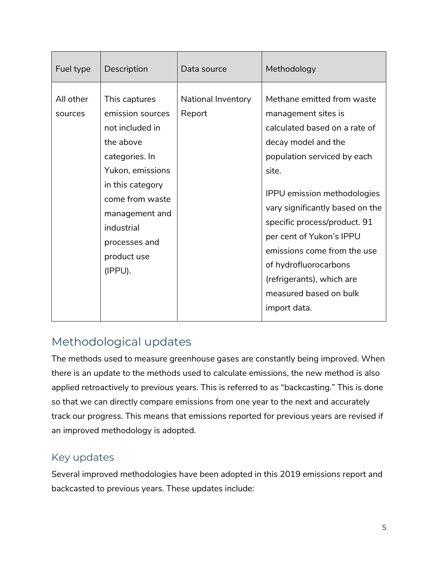| Fuel type            | Description                                                                                                                                                                                                               | Data source                  | Methodology                                                                                                                                                                                                                                                                                                                                                                                                           |
|----------------------|---------------------------------------------------------------------------------------------------------------------------------------------------------------------------------------------------------------------------|------------------------------|-----------------------------------------------------------------------------------------------------------------------------------------------------------------------------------------------------------------------------------------------------------------------------------------------------------------------------------------------------------------------------------------------------------------------|
| All other<br>sources | This captures<br>emission sources<br>not included in<br>the above<br>categories. In<br>Yukon, emissions<br>in this category<br>come from waste<br>management and<br>industrial<br>processes and<br>product use<br>(IPPU). | National Inventory<br>Report | Methane emitted from waste<br>management sites is<br>calculated based on a rate of<br>decay model and the<br>population serviced by each<br>site.<br><b>IPPU</b> emission methodologies<br>vary significantly based on the<br>specific process/product. 91<br>per cent of Yukon's IPPU<br>emissions come from the use<br>of hydrofluorocarbons<br>(refrigerants), which are<br>measured based on bulk<br>import data. |

### <span id="page-6-0"></span>Methodological updates

The methods used to measure greenhouse gases are constantly being improved. When there is an update to the methods used to calculate emissions, the new method is also applied retroactively to previous years. This is referred to as "backcasting." This is done so that we can directly compare emissions from one year to the next and accurately track our progress. This means that emissions reported for previous years are revised if an improved methodology is adopted.

#### <span id="page-6-1"></span>Key updates

Several improved methodologies have been adopted in this 2019 emissions report and backcasted to previous years. These updates include: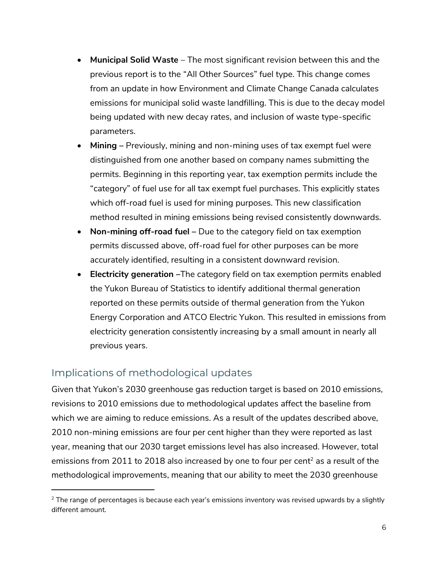- **Municipal Solid Waste**  The most significant revision between this and the previous report is to the "All Other Sources" fuel type. This change comes from an update in how Environment and Climate Change Canada calculates emissions for municipal solid waste landfilling. This is due to the decay model being updated with new decay rates, and inclusion of waste type-specific parameters.
- **Mining –** Previously, mining and non-mining uses of tax exempt fuel were distinguished from one another based on company names submitting the permits. Beginning in this reporting year, tax exemption permits include the "category" of fuel use for all tax exempt fuel purchases. This explicitly states which off-road fuel is used for mining purposes. This new classification method resulted in mining emissions being revised consistently downwards.
- **Non-mining off-road fuel –** Due to the category field on tax exemption permits discussed above, off-road fuel for other purposes can be more accurately identified, resulting in a consistent downward revision.
- **Electricity generation** –The category field on tax exemption permits enabled the Yukon Bureau of Statistics to identify additional thermal generation reported on these permits outside of thermal generation from the Yukon Energy Corporation and ATCO Electric Yukon. This resulted in emissions from electricity generation consistently increasing by a small amount in nearly all previous years.

#### <span id="page-7-0"></span>Implications of methodological updates

 $\overline{a}$ 

Given that Yukon's 2030 greenhouse gas reduction target is based on 2010 emissions, revisions to 2010 emissions due to methodological updates affect the baseline from which we are aiming to reduce emissions. As a result of the updates described above, 2010 non-mining emissions are four per cent higher than they were reported as last year, meaning that our 2030 target emissions level has also increased. However, total emissions from 2011 to 2018 also increased by one to four per cent<sup>2</sup> as a result of the methodological improvements, meaning that our ability to meet the 2030 greenhouse

 $2$  The range of percentages is because each year's emissions inventory was revised upwards by a slightly different amount.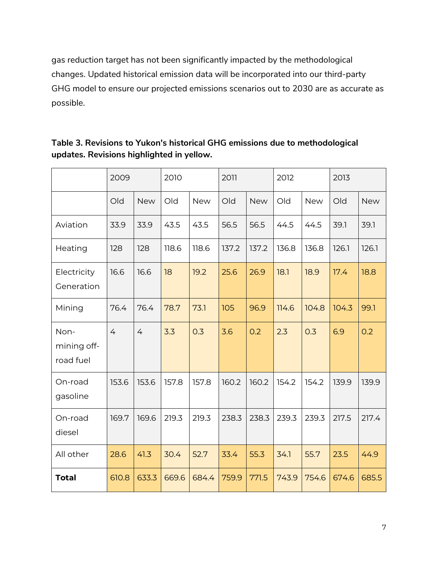gas reduction target has not been significantly impacted by the methodological changes. Updated historical emission data will be incorporated into our third-party GHG model to ensure our projected emissions scenarios out to 2030 are as accurate as possible.

|                                  | 2009           | 2010           |       | 2011       |       | 2012       |       | 2013       |       |            |
|----------------------------------|----------------|----------------|-------|------------|-------|------------|-------|------------|-------|------------|
|                                  | Old            | <b>New</b>     | Old   | <b>New</b> | Old   | <b>New</b> | Old   | <b>New</b> | Old   | <b>New</b> |
| Aviation                         | 33.9           | 33.9           | 43.5  | 43.5       | 56.5  | 56.5       | 44.5  | 44.5       | 39.1  | 39.1       |
| Heating                          | 128            | 128            | 118.6 | 118.6      | 137.2 | 137.2      | 136.8 | 136.8      | 126.1 | 126.1      |
| Electricity<br>Generation        | 16.6           | 16.6           | 18    | 19.2       | 25.6  | 26.9       | 18.1  | 18.9       | 17.4  | 18.8       |
| Mining                           | 76.4           | 76.4           | 78.7  | 73.1       | 105   | 96.9       | 114.6 | 104.8      | 104.3 | 99.1       |
| Non-<br>mining off-<br>road fuel | $\overline{4}$ | $\overline{4}$ | 3.3   | 0.3        | 3.6   | 0.2        | 2.3   | 0.3        | 6.9   | 0.2        |
| On-road<br>gasoline              | 153.6          | 153.6          | 157.8 | 157.8      | 160.2 | 160.2      | 154.2 | 154.2      | 139.9 | 139.9      |
| On-road<br>diesel                | 169.7          | 169.6          | 219.3 | 219.3      | 238.3 | 238.3      | 239.3 | 239.3      | 217.5 | 217.4      |
| All other                        | 28.6           | 41.3           | 30.4  | 52.7       | 33.4  | 55.3       | 34.1  | 55.7       | 23.5  | 44.9       |
| <b>Total</b>                     | 610.8          | 633.3          | 669.6 | 684.4      | 759.9 | 771.5      | 743.9 | 754.6      | 674.6 | 685.5      |

#### **Table 3. Revisions to Yukon's historical GHG emissions due to methodological updates. Revisions highlighted in yellow.**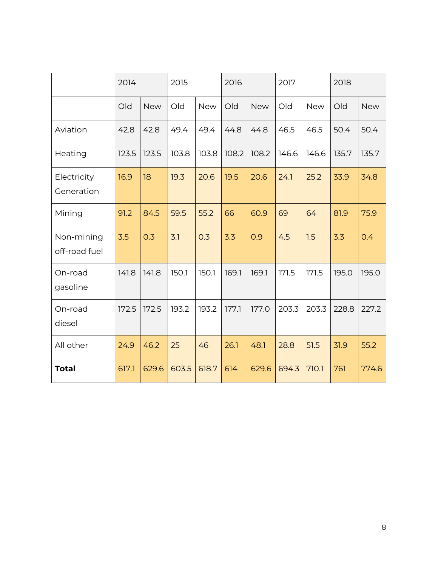|                             | 2014  |            | 2015  |            | 2016  |            | 2017  |            | 2018  |            |
|-----------------------------|-------|------------|-------|------------|-------|------------|-------|------------|-------|------------|
|                             | Old   | <b>New</b> | Old   | <b>New</b> | Old   | <b>New</b> | Old   | <b>New</b> | Old   | <b>New</b> |
| Aviation                    | 42.8  | 42.8       | 49.4  | 49.4       | 44.8  | 44.8       | 46.5  | 46.5       | 50.4  | 50.4       |
| Heating                     | 123.5 | 123.5      | 103.8 | 103.8      | 108.2 | 108.2      | 146.6 | 146.6      | 135.7 | 135.7      |
| Electricity<br>Generation   | 16.9  | 18         | 19.3  | 20.6       | 19.5  | 20.6       | 24.1  | 25.2       | 33.9  | 34.8       |
| Mining                      | 91.2  | 84.5       | 59.5  | 55.2       | 66    | 60.9       | 69    | 64         | 81.9  | 75.9       |
| Non-mining<br>off-road fuel | 3.5   | 0.3        | 3.1   | 0.3        | 3.3   | 0.9        | 4.5   | 1.5        | 3.3   | 0.4        |
| On-road<br>gasoline         | 141.8 | 141.8      | 150.1 | 150.1      | 169.1 | 169.1      | 171.5 | 171.5      | 195.0 | 195.0      |
| On-road<br>diesel           | 172.5 | 172.5      | 193.2 | 193.2      | 177.1 | 177.0      | 203.3 | 203.3      | 228.8 | 227.2      |
| All other                   | 24.9  | 46.2       | 25    | 46         | 26.1  | 48.1       | 28.8  | 51.5       | 31.9  | 55.2       |
| <b>Total</b>                | 617.1 | 629.6      | 603.5 | 618.7      | 614   | 629.6      | 694.3 | 710.1      | 761   | 774.6      |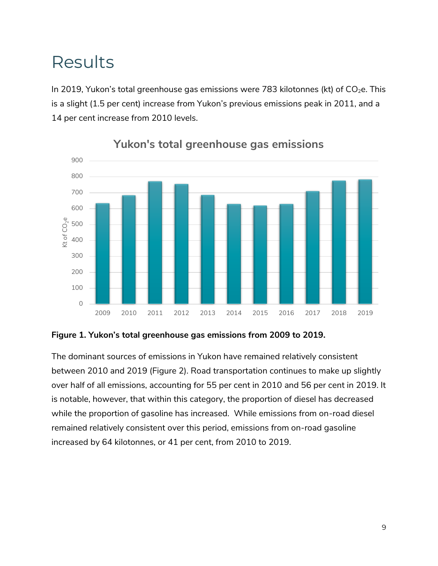## <span id="page-10-0"></span>Results

In 2019, Yukon's total greenhouse gas emissions were 783 kilotonnes (kt) of  $CO<sub>2</sub>e$ . This is a slight (1.5 per cent) increase from Yukon's previous emissions peak in 2011, and a 14 per cent increase from 2010 levels.



**Yukon's total greenhouse gas emissions**

#### **Figure 1. Yukon's total greenhouse gas emissions from 2009 to 2019.**

The dominant sources of emissions in Yukon have remained relatively consistent between 2010 and 2019 [\(Figure 2\)](#page-11-0). Road transportation continues to make up slightly over half of all emissions, accounting for 55 per cent in 2010 and 56 per cent in 2019. It is notable, however, that within this category, the proportion of diesel has decreased while the proportion of gasoline has increased. While emissions from on-road diesel remained relatively consistent over this period, emissions from on-road gasoline increased by 64 kilotonnes, or 41 per cent, from 2010 to 2019.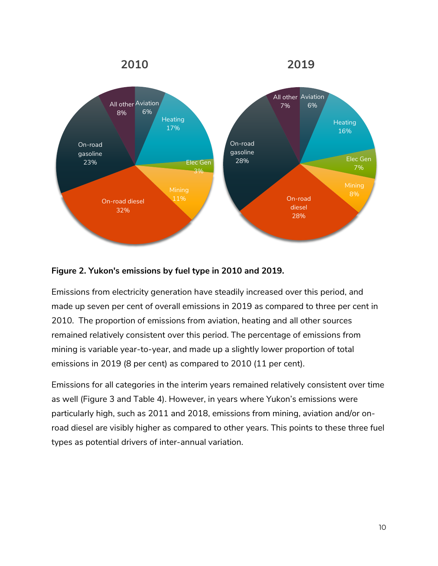

#### <span id="page-11-0"></span>**Figure 2. Yukon's emissions by fuel type in 2010 and 2019.**

Emissions from electricity generation have steadily increased over this period, and made up seven per cent of overall emissions in 2019 as compared to three per cent in 2010. The proportion of emissions from aviation, heating and all other sources remained relatively consistent over this period. The percentage of emissions from mining is variable year-to-year, and made up a slightly lower proportion of total emissions in 2019 (8 per cent) as compared to 2010 (11 per cent).

Emissions for all categories in the interim years remained relatively consistent over time as well [\(Figure 3](#page-12-0) and [Table 4\)](#page-12-1). However, in years where Yukon's emissions were particularly high, such as 2011 and 2018, emissions from mining, aviation and/or onroad diesel are visibly higher as compared to other years. This points to these three fuel types as potential drivers of inter-annual variation.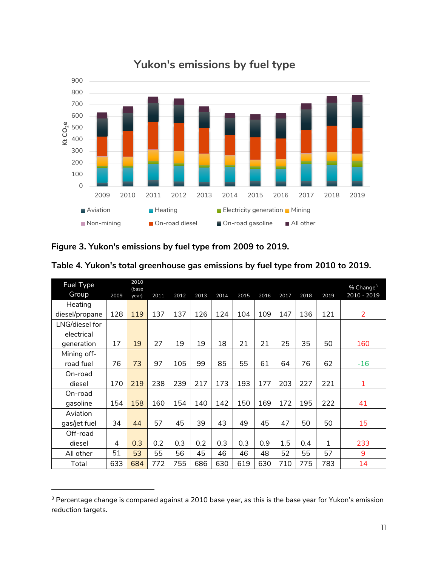

### **Yukon's emissions by fuel type**

<span id="page-12-0"></span>

| Figure 3. Yukon's emissions by fuel type from 2009 to 2019. |  |  |
|-------------------------------------------------------------|--|--|
|-------------------------------------------------------------|--|--|

 $\overline{a}$ 

| Fuel Type      |      | 2010<br>(base |      |      |      |      |      |      |      |      |      | % Change <sup>3</sup> |
|----------------|------|---------------|------|------|------|------|------|------|------|------|------|-----------------------|
| Group          | 2009 | year)         | 2011 | 2012 | 2013 | 2014 | 2015 | 2016 | 2017 | 2018 | 2019 | 2010 - 2019           |
| Heating        |      |               |      |      |      |      |      |      |      |      |      |                       |
| diesel/propane | 128  | 119           | 137  | 137  | 126  | 124  | 104  | 109  | 147  | 136  | 121  | $\overline{2}$        |
| LNG/diesel for |      |               |      |      |      |      |      |      |      |      |      |                       |
| electrical     |      |               |      |      |      |      |      |      |      |      |      |                       |
| generation     | 17   | 19            | 27   | 19   | 19   | 18   | 21   | 21   | 25   | 35   | 50   | 160                   |
| Mining off-    |      |               |      |      |      |      |      |      |      |      |      |                       |
| road fuel      | 76   | 73            | 97   | 105  | 99   | 85   | 55   | 61   | 64   | 76   | 62   | $-16$                 |
| On-road        |      |               |      |      |      |      |      |      |      |      |      |                       |
| diesel         | 170  | 219           | 238  | 239  | 217  | 173  | 193  | 177  | 203  | 227  | 221  | 1                     |
| On-road        |      |               |      |      |      |      |      |      |      |      |      |                       |
| gasoline       | 154  | 158           | 160  | 154  | 140  | 142  | 150  | 169  | 172  | 195  | 222  | 41                    |
| Aviation       |      |               |      |      |      |      |      |      |      |      |      |                       |
| gas/jet fuel   | 34   | 44            | 57   | 45   | 39   | 43   | 49   | 45   | 47   | 50   | 50   | 15                    |
| Off-road       |      |               |      |      |      |      |      |      |      |      |      |                       |
| diesel         | 4    | 0.3           | 0.2  | 0.3  | 0.2  | 0.3  | 0.3  | 0.9  | 1.5  | 0.4  | 1    | 233                   |
| All other      | 51   | 53            | 55   | 56   | 45   | 46   | 46   | 48   | 52   | 55   | 57   | 9                     |
| Total          | 633  | 684           | 772  | 755  | 686  | 630  | 619  | 630  | 710  | 775  | 783  | 14                    |

<span id="page-12-1"></span>

| Table 4. Yukon's total greenhouse gas emissions by fuel type from 2010 to 2019. |  |  |
|---------------------------------------------------------------------------------|--|--|
|---------------------------------------------------------------------------------|--|--|

<sup>&</sup>lt;sup>3</sup> Percentage change is compared against a 2010 base year, as this is the base year for Yukon's emission reduction targets.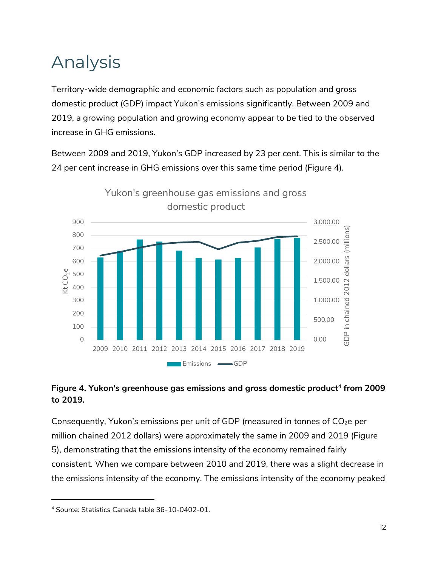## <span id="page-13-0"></span>Analysis

Territory-wide demographic and economic factors such as population and gross domestic product (GDP) impact Yukon's emissions significantly. Between 2009 and 2019, a growing population and growing economy appear to be tied to the observed increase in GHG emissions.

Between 2009 and 2019, Yukon's GDP increased by 23 per cent. This is similar to the 24 per cent increase in GHG emissions over this same time period [\(Figure 4\)](#page-13-1).



#### <span id="page-13-1"></span>**Figure 4. Yukon's greenhouse gas emissions and gross domestic product<sup>4</sup> from 2009 to 2019.**

Consequently, Yukon's emissions per unit of GDP (measured in tonnes of  $CO<sub>2</sub>e$  per million chained 2012 dollars) were approximately the same in 2009 and 2019 [\(Figure](#page-14-0)  [5\)](#page-14-0), demonstrating that the emissions intensity of the economy remained fairly consistent. When we compare between 2010 and 2019, there was a slight decrease in the emissions intensity of the economy. The emissions intensity of the economy peaked

 $\overline{a}$ 

<sup>4</sup> Source: Statistics Canada table 36-10-0402-01.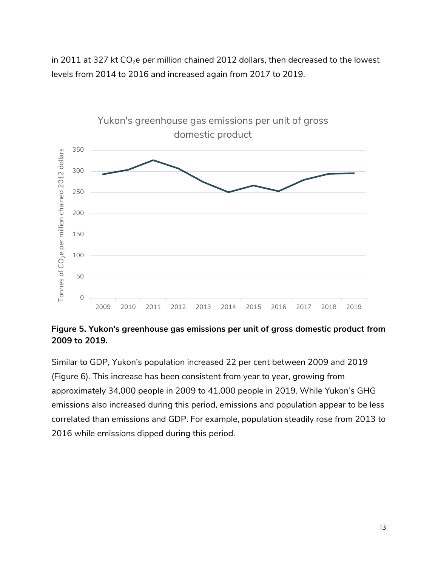in 2011 at 327 kt  $CO<sub>2</sub>e$  per million chained 2012 dollars, then decreased to the lowest levels from 2014 to 2016 and increased again from 2017 to 2019.



<span id="page-14-0"></span>**Figure 5. Yukon's greenhouse gas emissions per unit of gross domestic product from 2009 to 2019.**

Similar to GDP, Yukon's population increased 22 per cent between 2009 and 2019 [\(Figure 6\)](#page-15-0). This increase has been consistent from year to year, growing from approximately 34,000 people in 2009 to 41,000 people in 2019. While Yukon's GHG emissions also increased during this period, emissions and population appear to be less correlated than emissions and GDP. For example, population steadily rose from 2013 to 2016 while emissions dipped during this period.

13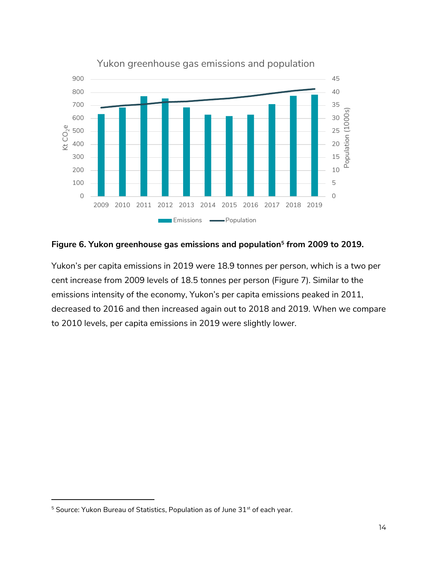

Yukon greenhouse gas emissions and population

#### <span id="page-15-0"></span>**Figure 6. Yukon greenhouse gas emissions and population<sup>5</sup> from 2009 to 2019.**

Yukon's per capita emissions in 2019 were 18.9 tonnes per person, which is a two per cent increase from 2009 levels of 18.5 tonnes per person [\(Figure 7\)](#page-16-1). Similar to the emissions intensity of the economy, Yukon's per capita emissions peaked in 2011, decreased to 2016 and then increased again out to 2018 and 2019. When we compare to 2010 levels, per capita emissions in 2019 were slightly lower.

 $\overline{a}$ 

Source: Yukon Bureau of Statistics, Population as of June  $31<sup>st</sup>$  of each year.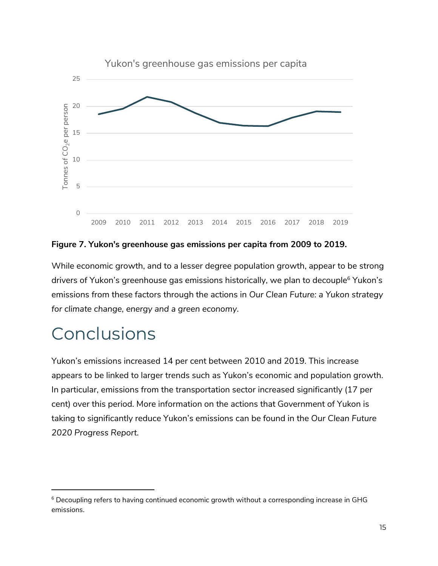

<span id="page-16-1"></span>**Figure 7. Yukon's greenhouse gas emissions per capita from 2009 to 2019.**

While economic growth, and to a lesser degree population growth, appear to be strong drivers of Yukon's greenhouse gas emissions historically, we plan to decouple<sup>6</sup> Yukon's emissions from these factors through the actions in *Our Clean Future: a Yukon strategy for climate change, energy and a green economy.*

## <span id="page-16-0"></span>Conclusions

 $\overline{a}$ 

Yukon's emissions increased 14 per cent between 2010 and 2019. This increase appears to be linked to larger trends such as Yukon's economic and population growth. In particular, emissions from the transportation sector increased significantly (17 per cent) over this period. More information on the actions that Government of Yukon is taking to significantly reduce Yukon's emissions can be found in the *Our Clean Future 2020 Progress Report.* 

<sup>&</sup>lt;sup>6</sup> Decoupling refers to having continued economic growth without a corresponding increase in GHG emissions.